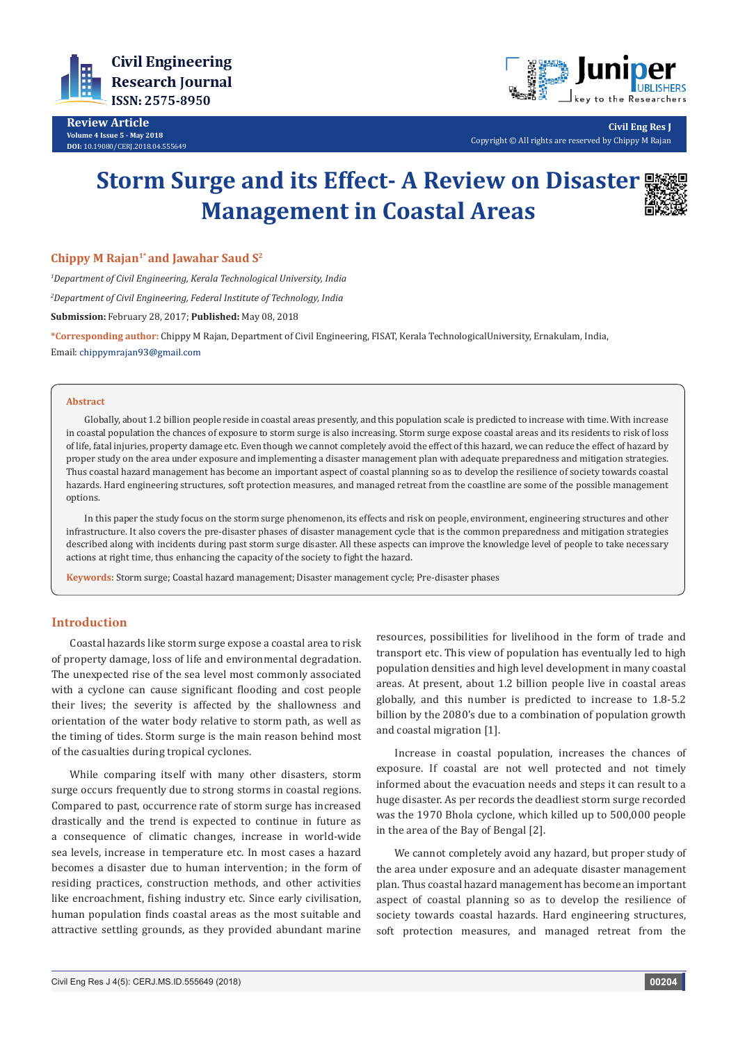

**Review Article Volume 4 Issue 5 - May 2018 DOI:** [10.19080/CERJ.2018.04.555649](http://dx.doi.org/10.19080/CERJ.2018.04.555649)



**Civil Eng Res J** Copyright © All rights are reserved by Chippy M Rajan

# **Storm Surge and its Effect- A Review on Disaster Management in Coastal Areas**



*1 Department of Civil Engineering, Kerala Technological University, India 2 Department of Civil Engineering, Federal Institute of Technology, India* **Submission:** February 28, 2017; **Published:** May 08, 2018

**\*Corresponding author:** Chippy M Rajan, Department of Civil Engineering, FISAT, Kerala TechnologicalUniversity, Ernakulam, India, Email: chippymrajan93@gmail.com

#### **Abstract**

Globally, about 1.2 billion people reside in coastal areas presently, and this population scale is predicted to increase with time. With increase in coastal population the chances of exposure to storm surge is also increasing. Storm surge expose coastal areas and its residents to risk of loss of life, fatal injuries, property damage etc. Even though we cannot completely avoid the effect of this hazard, we can reduce the effect of hazard by proper study on the area under exposure and implementing a disaster management plan with adequate preparedness and mitigation strategies. Thus coastal hazard management has become an important aspect of coastal planning so as to develop the resilience of society towards coastal hazards. Hard engineering structures, soft protection measures, and managed retreat from the coastline are some of the possible management options.

In this paper the study focus on the storm surge phenomenon, its effects and risk on people, environment, engineering structures and other infrastructure. It also covers the pre-disaster phases of disaster management cycle that is the common preparedness and mitigation strategies described along with incidents during past storm surge disaster. All these aspects can improve the knowledge level of people to take necessary actions at right time, thus enhancing the capacity of the society to fight the hazard.

**Keywords:** Storm surge; Coastal hazard management; Disaster management cycle; Pre-disaster phases

## **Introduction**

Coastal hazards like storm surge expose a coastal area to risk of property damage, loss of life and environmental degradation. The unexpected rise of the sea level most commonly associated with a cyclone can cause significant flooding and cost people their lives; the severity is affected by the shallowness and orientation of the water body relative to storm path, as well as the timing of tides. Storm surge is the main reason behind most of the casualties during tropical cyclones.

While comparing itself with many other disasters, storm surge occurs frequently due to strong storms in coastal regions. Compared to past, occurrence rate of storm surge has increased drastically and the trend is expected to continue in future as a consequence of climatic changes, increase in world-wide sea levels, increase in temperature etc. In most cases a hazard becomes a disaster due to human intervention; in the form of residing practices, construction methods, and other activities like encroachment, fishing industry etc. Since early civilisation, human population finds coastal areas as the most suitable and attractive settling grounds, as they provided abundant marine

resources, possibilities for livelihood in the form of trade and transport etc. This view of population has eventually led to high population densities and high level development in many coastal areas. At present, about 1.2 billion people live in coastal areas globally, and this number is predicted to increase to 1.8-5.2 billion by the 2080's due to a combination of population growth and coastal migration [1].

Increase in coastal population, increases the chances of exposure. If coastal are not well protected and not timely informed about the evacuation needs and steps it can result to a huge disaster. As per records the deadliest storm surge recorded was the 1970 Bhola cyclone, which killed up to 500,000 people in the area of the Bay of Bengal [2].

We cannot completely avoid any hazard, but proper study of the area under exposure and an adequate disaster management plan. Thus coastal hazard management has become an important aspect of coastal planning so as to develop the resilience of society towards coastal hazards. Hard engineering structures, soft protection measures, and managed retreat from the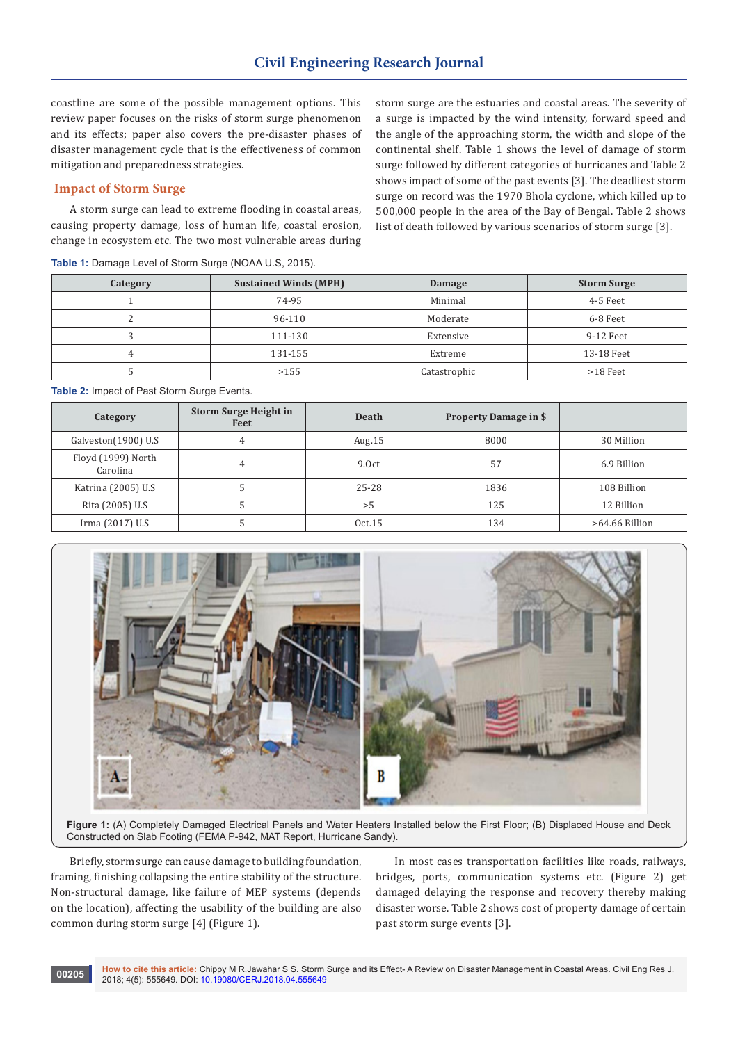coastline are some of the possible management options. This review paper focuses on the risks of storm surge phenomenon and its effects; paper also covers the pre-disaster phases of disaster management cycle that is the effectiveness of common mitigation and preparedness strategies.

## **Impact of Storm Surge**

A storm surge can lead to extreme flooding in coastal areas, causing property damage, loss of human life, coastal erosion, change in ecosystem etc. The two most vulnerable areas during

**Table 1:** Damage Level of Storm Surge (NOAA U.S, 2015).

storm surge are the estuaries and coastal areas. The severity of a surge is impacted by the wind intensity, forward speed and the angle of the approaching storm, the width and slope of the continental shelf. Table 1 shows the level of damage of storm surge followed by different categories of hurricanes and Table 2 shows impact of some of the past events [3]. The deadliest storm surge on record was the 1970 Bhola cyclone, which killed up to 500,000 people in the area of the Bay of Bengal. Table 2 shows list of death followed by various scenarios of storm surge [3].

| Category | <b>Sustained Winds (MPH)</b> | Damage       | <b>Storm Surge</b> |
|----------|------------------------------|--------------|--------------------|
|          | 74-95                        | Minimal      | 4-5 Feet           |
|          | 96-110                       | Moderate     | 6-8 Feet           |
|          | 111-130                      | Extensive    | 9-12 Feet          |
|          | 131-155                      | Extreme      | 13-18 Feet         |
|          | >155                         | Catastrophic | $>18$ Feet         |

**Table 2:** Impact of Past Storm Surge Events.

| Category                       | <b>Storm Surge Height in</b><br>Feet | <b>Death</b> | <b>Property Damage in \$</b> |                  |
|--------------------------------|--------------------------------------|--------------|------------------------------|------------------|
| Galveston(1900) U.S            | 4                                    | Aug. $15$    | 8000                         | 30 Million       |
| Floyd (1999) North<br>Carolina | 4                                    | 9.0ct        | 57                           | 6.9 Billion      |
| Katrina (2005) U.S.            |                                      | $25 - 28$    | 1836                         | 108 Billion      |
| Rita (2005) U.S.               |                                      | > 5          | 125                          | 12 Billion       |
| Irma (2017) U.S.               |                                      | Oct.15       | 134                          | $>64.66$ Billion |



**Figure 1:** (A) Completely Damaged Electrical Panels and Water Heaters Installed below the First Floor; (B) Displaced House and Deck Constructed on Slab Footing (FEMA P-942, MAT Report, Hurricane Sandy).

Briefly, storm surge can cause damage to building foundation, framing, finishing collapsing the entire stability of the structure. Non-structural damage, like failure of MEP systems (depends on the location), affecting the usability of the building are also common during storm surge [4] (Figure 1).

In most cases transportation facilities like roads, railways, bridges, ports, communication systems etc. (Figure 2) get damaged delaying the response and recovery thereby making disaster worse. Table 2 shows cost of property damage of certain past storm surge events [3].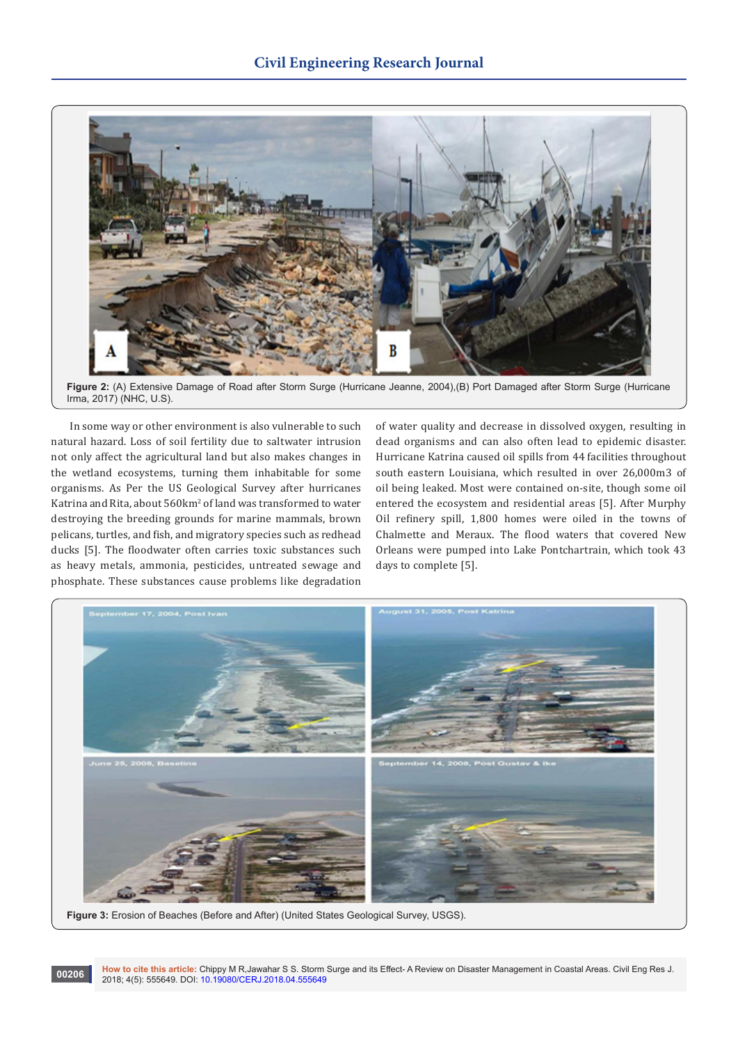

**Figure 2:** (A) Extensive Damage of Road after Storm Surge (Hurricane Jeanne, 2004),(B) Port Damaged after Storm Surge (Hurricane Irma, 2017) (NHC, U.S).

In some way or other environment is also vulnerable to such natural hazard. Loss of soil fertility due to saltwater intrusion not only affect the agricultural land but also makes changes in the wetland ecosystems, turning them inhabitable for some organisms. As Per the US Geological Survey after hurricanes Katrina and Rita, about 560km<sup>2</sup> of land was transformed to water destroying the breeding grounds for marine mammals, brown pelicans, turtles, and fish, and migratory species such as redhead ducks [5]. The floodwater often carries toxic substances such as heavy metals, ammonia, pesticides, untreated sewage and phosphate. These substances cause problems like degradation

of water quality and decrease in dissolved oxygen, resulting in dead organisms and can also often lead to epidemic disaster. Hurricane Katrina caused oil spills from 44 facilities throughout south eastern Louisiana, which resulted in over 26,000m3 of oil being leaked. Most were contained on-site, though some oil entered the ecosystem and residential areas [5]. After Murphy Oil refinery spill, 1,800 homes were oiled in the towns of Chalmette and Meraux. The flood waters that covered New Orleans were pumped into Lake Pontchartrain, which took 43 days to complete [5].



**Figure 3:** Erosion of Beaches (Before and After) (United States Geological Survey, USGS).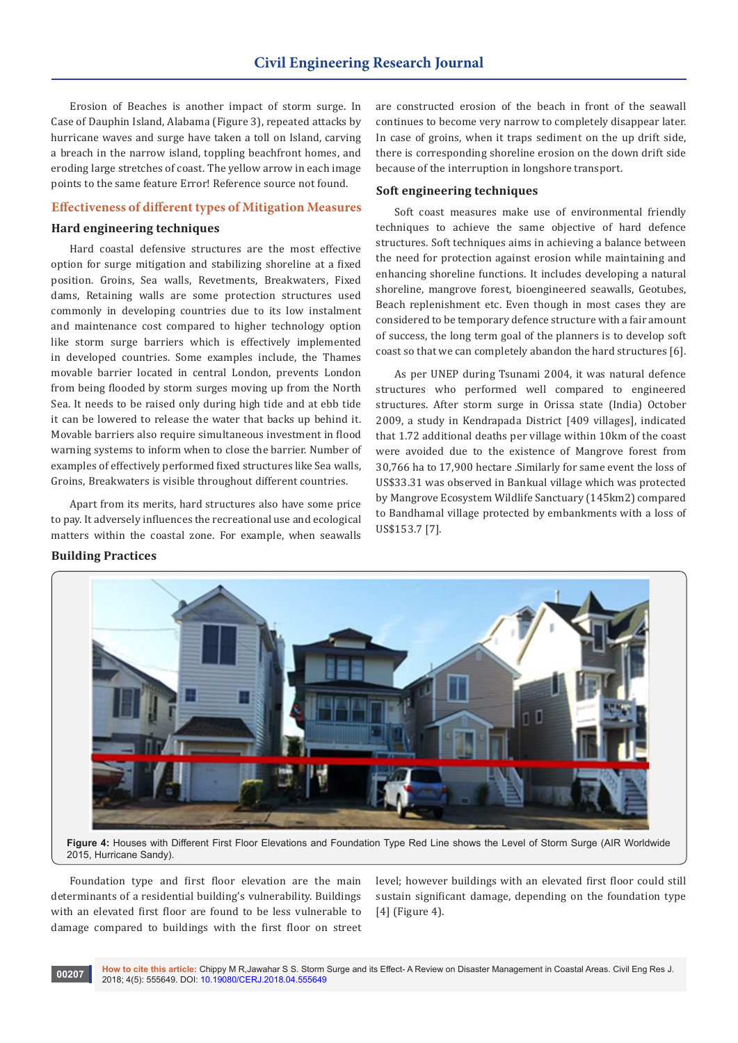Erosion of Beaches is another impact of storm surge. In Case of Dauphin Island, Alabama (Figure 3), repeated attacks by hurricane waves and surge have taken a toll on Island, carving a breach in the narrow island, toppling beachfront homes, and eroding large stretches of coast. The yellow arrow in each image points to the same feature Error! Reference source not found.

## **Effectiveness of different types of Mitigation Measures**

## **Hard engineering techniques**

Hard coastal defensive structures are the most effective option for surge mitigation and stabilizing shoreline at a fixed position. Groins, Sea walls, Revetments, Breakwaters, Fixed dams, Retaining walls are some protection structures used commonly in developing countries due to its low instalment and maintenance cost compared to higher technology option like storm surge barriers which is effectively implemented in developed countries. Some examples include, the Thames movable barrier located in central London, prevents London from being flooded by storm surges moving up from the North Sea. It needs to be raised only during high tide and at ebb tide it can be lowered to release the water that backs up behind it. Movable barriers also require simultaneous investment in flood warning systems to inform when to close the barrier. Number of examples of effectively performed fixed structures like Sea walls, Groins, Breakwaters is visible throughout different countries.

Apart from its merits, hard structures also have some price to pay. It adversely influences the recreational use and ecological matters within the coastal zone. For example, when seawalls are constructed erosion of the beach in front of the seawall continues to become very narrow to completely disappear later. In case of groins, when it traps sediment on the up drift side, there is corresponding shoreline erosion on the down drift side because of the interruption in longshore transport.

#### **Soft engineering techniques**

Soft coast measures make use of environmental friendly techniques to achieve the same objective of hard defence structures. Soft techniques aims in achieving a balance between the need for protection against erosion while maintaining and enhancing shoreline functions. It includes developing a natural shoreline, mangrove forest, bioengineered seawalls, Geotubes, Beach replenishment etc. Even though in most cases they are considered to be temporary defence structure with a fair amount of success, the long term goal of the planners is to develop soft coast so that we can completely abandon the hard structures [6].

As per UNEP during Tsunami 2004, it was natural defence structures who performed well compared to engineered structures. After storm surge in Orissa state (India) October 2009, a study in Kendrapada District [409 villages], indicated that 1.72 additional deaths per village within 10km of the coast were avoided due to the existence of Mangrove forest from 30,766 ha to 17,900 hectare .Similarly for same event the loss of US\$33.31 was observed in Bankual village which was protected by Mangrove Ecosystem Wildlife Sanctuary (145km2) compared to Bandhamal village protected by embankments with a loss of US\$153.7 [7].

#### **Building Practices**



**Figure 4:** Houses with Different First Floor Elevations and Foundation Type Red Line shows the Level of Storm Surge (AIR Worldwide 2015, Hurricane Sandy).

Foundation type and first floor elevation are the main determinants of a residential building's vulnerability. Buildings with an elevated first floor are found to be less vulnerable to damage compared to buildings with the first floor on street level; however buildings with an elevated first floor could still sustain significant damage, depending on the foundation type [4] (Figure 4).

**How to cite this article:** Chippy M R,Jawahar S S. Storm Surge and its Effect- A Review on Disaster Management in Coastal Areas. Civil Eng Res J. **2018; 4(5): 555649. DOI: [10.19080/CERJ.2018.04.555649](http://dx.doi.org/10.19080/CERJ.2018.04.555649)**<br>2018; 4(5): 555649. DOI: 10.19080/CERJ.2018.04.555649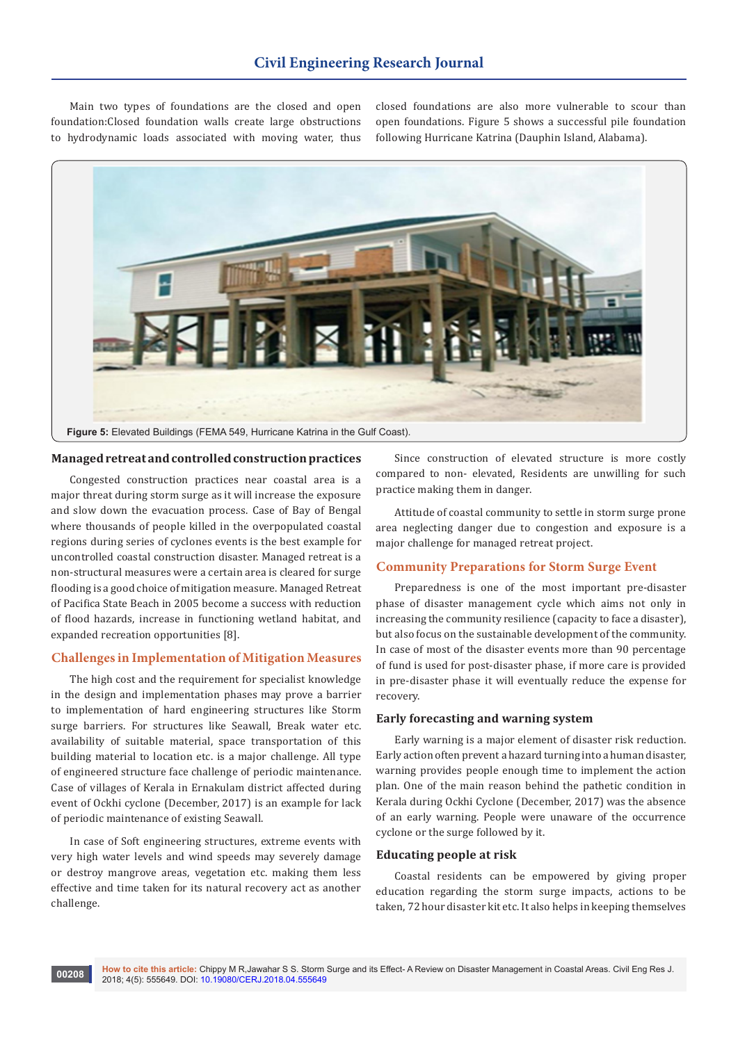Main two types of foundations are the closed and open foundation:Closed foundation walls create large obstructions to hydrodynamic loads associated with moving water, thus closed foundations are also more vulnerable to scour than open foundations. Figure 5 shows a successful pile foundation following Hurricane Katrina (Dauphin Island, Alabama).



## **Managed retreat and controlled construction practices**

Congested construction practices near coastal area is a major threat during storm surge as it will increase the exposure and slow down the evacuation process. Case of Bay of Bengal where thousands of people killed in the overpopulated coastal regions during series of cyclones events is the best example for uncontrolled coastal construction disaster. Managed retreat is a non-structural measures were a certain area is cleared for surge flooding is a good choice of mitigation measure. Managed Retreat of Pacifica State Beach in 2005 become a success with reduction of flood hazards, increase in functioning wetland habitat, and expanded recreation opportunities [8].

# **Challenges in Implementation of Mitigation Measures**

The high cost and the requirement for specialist knowledge in the design and implementation phases may prove a barrier to implementation of hard engineering structures like Storm surge barriers. For structures like Seawall, Break water etc. availability of suitable material, space transportation of this building material to location etc. is a major challenge. All type of engineered structure face challenge of periodic maintenance. Case of villages of Kerala in Ernakulam district affected during event of Ockhi cyclone (December, 2017) is an example for lack of periodic maintenance of existing Seawall.

In case of Soft engineering structures, extreme events with very high water levels and wind speeds may severely damage or destroy mangrove areas, vegetation etc. making them less effective and time taken for its natural recovery act as another challenge.

Since construction of elevated structure is more costly compared to non- elevated, Residents are unwilling for such practice making them in danger.

Attitude of coastal community to settle in storm surge prone area neglecting danger due to congestion and exposure is a major challenge for managed retreat project.

# **Community Preparations for Storm Surge Event**

Preparedness is one of the most important pre-disaster phase of disaster management cycle which aims not only in increasing the community resilience (capacity to face a disaster), but also focus on the sustainable development of the community. In case of most of the disaster events more than 90 percentage of fund is used for post-disaster phase, if more care is provided in pre-disaster phase it will eventually reduce the expense for recovery.

## **Early forecasting and warning system**

Early warning is a major element of disaster risk reduction. Early action often prevent a hazard turning into a human disaster, warning provides people enough time to implement the action plan. One of the main reason behind the pathetic condition in Kerala during Ockhi Cyclone (December, 2017) was the absence of an early warning. People were unaware of the occurrence cyclone or the surge followed by it.

#### **Educating people at risk**

Coastal residents can be empowered by giving proper education regarding the storm surge impacts, actions to be taken, 72 hour disaster kit etc. It also helps in keeping themselves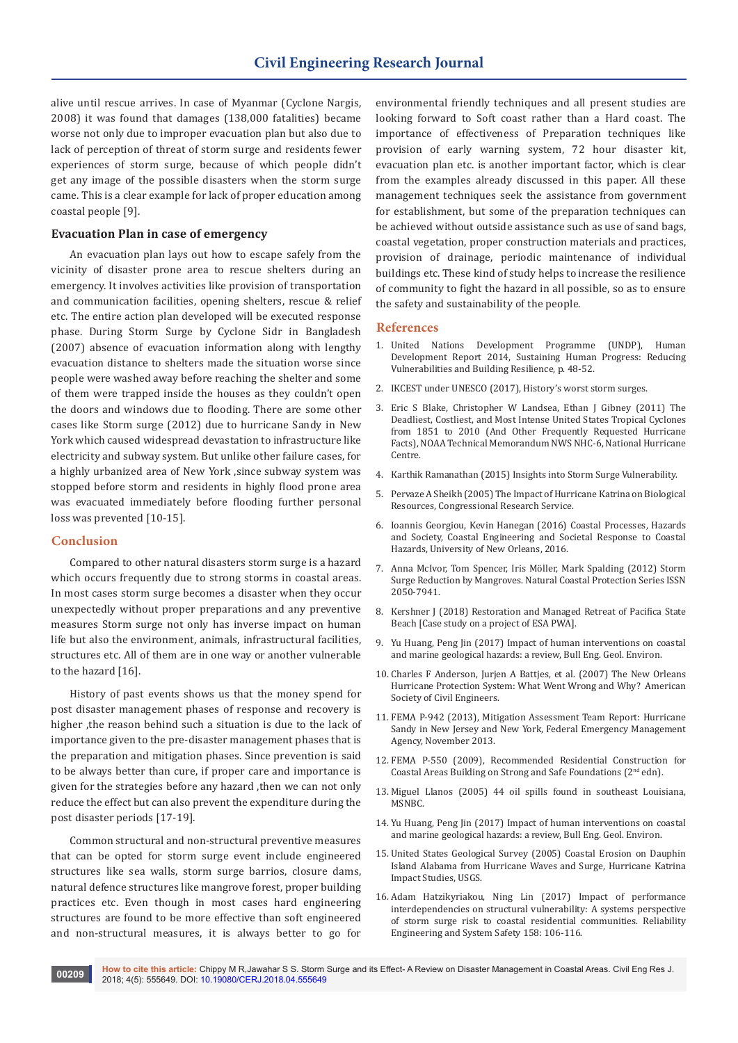alive until rescue arrives. In case of Myanmar (Cyclone Nargis, 2008) it was found that damages (138,000 fatalities) became worse not only due to improper evacuation plan but also due to lack of perception of threat of storm surge and residents fewer experiences of storm surge, because of which people didn't get any image of the possible disasters when the storm surge came. This is a clear example for lack of proper education among coastal people [9].

## **Evacuation Plan in case of emergency**

An evacuation plan lays out how to escape safely from the vicinity of disaster prone area to rescue shelters during an emergency. It involves activities like provision of transportation and communication facilities, opening shelters, rescue & relief etc. The entire action plan developed will be executed response phase. During Storm Surge by Cyclone Sidr in Bangladesh (2007) absence of evacuation information along with lengthy evacuation distance to shelters made the situation worse since people were washed away before reaching the shelter and some of them were trapped inside the houses as they couldn't open the doors and windows due to flooding. There are some other cases like Storm surge (2012) due to hurricane Sandy in New York which caused widespread devastation to infrastructure like electricity and subway system. But unlike other failure cases, for a highly urbanized area of New York ,since subway system was stopped before storm and residents in highly flood prone area was evacuated immediately before flooding further personal loss was prevented [10-15].

#### **Conclusion**

Compared to other natural disasters storm surge is a hazard which occurs frequently due to strong storms in coastal areas. In most cases storm surge becomes a disaster when they occur unexpectedly without proper preparations and any preventive measures Storm surge not only has inverse impact on human life but also the environment, animals, infrastructural facilities, structures etc. All of them are in one way or another vulnerable to the hazard [16].

History of past events shows us that the money spend for post disaster management phases of response and recovery is higher ,the reason behind such a situation is due to the lack of importance given to the pre-disaster management phases that is the preparation and mitigation phases. Since prevention is said to be always better than cure, if proper care and importance is given for the strategies before any hazard ,then we can not only reduce the effect but can also prevent the expenditure during the post disaster periods [17-19].

Common structural and non-structural preventive measures that can be opted for storm surge event include engineered structures like sea walls, storm surge barrios, closure dams, natural defence structures like mangrove forest, proper building practices etc. Even though in most cases hard engineering structures are found to be more effective than soft engineered and non-structural measures, it is always better to go for

environmental friendly techniques and all present studies are looking forward to Soft coast rather than a Hard coast. The importance of effectiveness of Preparation techniques like provision of early warning system, 72 hour disaster kit, evacuation plan etc. is another important factor, which is clear from the examples already discussed in this paper. All these management techniques seek the assistance from government for establishment, but some of the preparation techniques can be achieved without outside assistance such as use of sand bags, coastal vegetation, proper construction materials and practices, provision of drainage, periodic maintenance of individual buildings etc. These kind of study helps to increase the resilience of community to fight the hazard in all possible, so as to ensure the safety and sustainability of the people.

# **References**

- 1. [United Nations Development Programme \(UNDP\), Human](http://hdr.undp.org/sites/default/files/hdr14-report-en-1.pdf)  [Development Report 2014, Sustaining Human Progress: Reducing](http://hdr.undp.org/sites/default/files/hdr14-report-en-1.pdf)  [Vulnerabilities and Building Resilience, p. 48-52](http://hdr.undp.org/sites/default/files/hdr14-report-en-1.pdf).
- 2. [IKCEST under UNESCO \(2017\), History's worst storm surges.](http://drr.ikcest.org/tutorial/1c5e4)
- 3. [Eric S Blake, Christopher W Landsea, Ethan J Gibney \(2011\) The](https://www.nhc.noaa.gov/pdf/nws-nhc-6.pdf)  [Deadliest, Costliest, and Most Intense United States Tropical Cyclones](https://www.nhc.noaa.gov/pdf/nws-nhc-6.pdf)  [from 1851 to 2010 \(And Other Frequently Requested Hurricane](https://www.nhc.noaa.gov/pdf/nws-nhc-6.pdf)  [Facts\), NOAA Technical Memorandum NWS NHC-6, National Hurricane](https://www.nhc.noaa.gov/pdf/nws-nhc-6.pdf)  [Centre](https://www.nhc.noaa.gov/pdf/nws-nhc-6.pdf).
- 4. [Karthik Ramanathan \(2015\) Insights into Storm Surge Vulnerability](http://www.air-worldwide.com/Publications/AIR-Currents/2015/Insights-into-Storm-Surge-Vulnerability/).
- 5. [Pervaze A Sheikh \(2005\) The Impact of Hurricane Katrina on Biological](https://www.everycrsreport.com/files/20051018_RL33117_6b17a54524e2a81234a7f392e35835a64e0b16af.pdf)  [Resources, Congressional Research Service.](https://www.everycrsreport.com/files/20051018_RL33117_6b17a54524e2a81234a7f392e35835a64e0b16af.pdf)
- 6. Ioannis Georgiou, Kevin Hanegan (2016) Coastal Processes, Hazards and Society, Coastal Engineering and Societal Response to Coastal Hazards, University of New Orleans, 2016.
- 7. [Anna McIvor, Tom Spencer, Iris Möller, Mark Spalding \(2012\) Storm](http://www.innovators2015.com/Resources/storm-surge-reduction-by-mangroves-report.pdf)  [Surge Reduction by Mangroves. Natural Coastal Protection Series ISSN](http://www.innovators2015.com/Resources/storm-surge-reduction-by-mangroves-report.pdf)  [2050-7941.](http://www.innovators2015.com/Resources/storm-surge-reduction-by-mangroves-report.pdf)
- 8. [Kershner J \(2018\) Restoration and Managed Retreat of Pacifica State](http://www.cakex.org/case-studies/restoration-and-managed-retreat-pacifica-state-beach)  [Beach \[Case study on a project of ESA PWA\].](http://www.cakex.org/case-studies/restoration-and-managed-retreat-pacifica-state-beach)
- 9. [Yu Huang, Peng Jin \(2017\) Impact of human interventions on coastal](file:///D:/manasa/pending/New%20folder/CERJ-RW-18-744_W/Impact%20of%20human%20interventions%20on%20coastal%20and%20marine%20geological%20hazards:%20a%20review)  [and marine geological hazards: a review, Bull Eng. Geol. Environ.](file:///D:/manasa/pending/New%20folder/CERJ-RW-18-744_W/Impact%20of%20human%20interventions%20on%20coastal%20and%20marine%20geological%20hazards:%20a%20review)
- 10. [Charles F Anderson, Jurjen A Battjes, et al. \(2007\) The New Orleans](https://archive.org/details/erpreport)  [Hurricane Protection System: What Went Wrong and Why? American](https://archive.org/details/erpreport)  [Society of Civil Engineers](https://archive.org/details/erpreport).
- 11. [FEMA P-942 \(2013\), Mitigation Assessment Team Report: Hurricane](https://www.fema.gov/media-library/assets/documents/85922)  [Sandy in New Jersey and New York, Federal Emergency Management](https://www.fema.gov/media-library/assets/documents/85922)  [Agency, November 2013](https://www.fema.gov/media-library/assets/documents/85922).
- 12. [FEMA P-550 \(2009\), Recommended Residential Construction for](https://www.fema.gov/media-library/assets/documents/3972)  [Coastal Areas Building on Strong and Safe Foundations \(2nd edn\).](https://www.fema.gov/media-library/assets/documents/3972)
- 13. Miguel Llanos (2005) 44 oil spills found in southeast Louisiana, MSNBC.
- 14. [Yu Huang, Peng Jin \(2017\) Impact of human interventions on coastal](file:///D:/manasa/pending/New%20folder/CERJ-RW-18-744_W/Impact%20of%20human%20interventions%20on%20coastal%20and%20marine%20geological%20hazards:%20a%20review)  [and marine geological hazards: a review, Bull Eng. Geol. Environ.](file:///D:/manasa/pending/New%20folder/CERJ-RW-18-744_W/Impact%20of%20human%20interventions%20on%20coastal%20and%20marine%20geological%20hazards:%20a%20review)
- 15. [United States Geological Survey \(2005\) Coastal Erosion on Dauphin](https://www.usgs.gov/media/images/coastal-erosion-dauphin-island-alabama-hurricane-waves-and-surge)  [Island Alabama from Hurricane Waves and Surge, Hurricane Katrina](https://www.usgs.gov/media/images/coastal-erosion-dauphin-island-alabama-hurricane-waves-and-surge)  [Impact Studies, USGS.](https://www.usgs.gov/media/images/coastal-erosion-dauphin-island-alabama-hurricane-waves-and-surge)
- 16. [Adam Hatzikyriakou, Ning Lin \(2017\) Impact of performance](https://www.sciencedirect.com/science/article/pii/S0951832016306627)  [interdependencies on structural vulnerability: A systems perspective](https://www.sciencedirect.com/science/article/pii/S0951832016306627)  [of storm surge risk to coastal residential communities. Reliability](https://www.sciencedirect.com/science/article/pii/S0951832016306627)  [Engineering and System Safety 158: 106-116.](https://www.sciencedirect.com/science/article/pii/S0951832016306627)